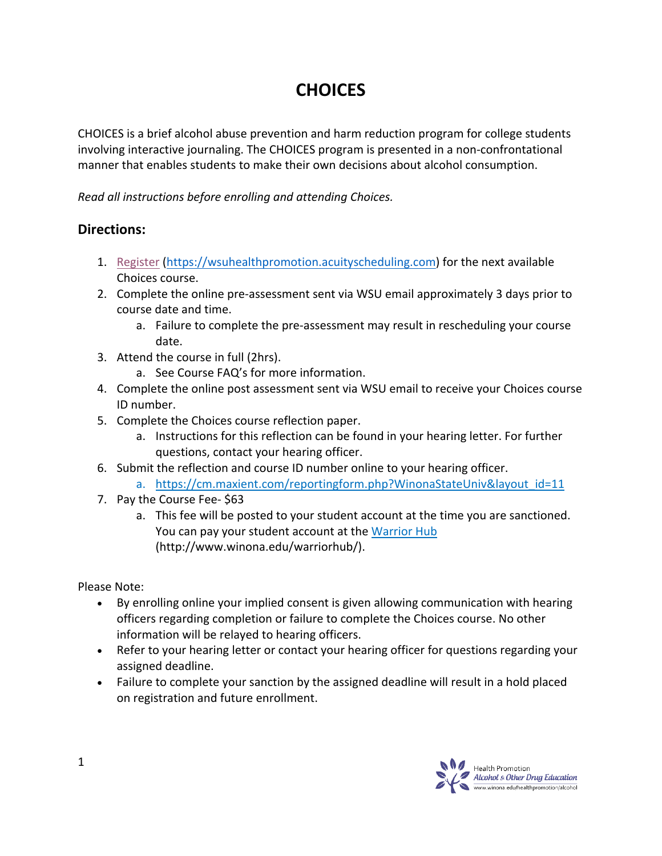# **CHOICES**

CHOICES is a brief alcohol abuse prevention and harm reduction program for college students involving interactive journaling. The CHOICES program is presented in a non-confrontational manner that enables students to make their own decisions about alcohol consumption.

*Read all instructions before enrolling and attending Choices.* 

## **Directions:**

- 1. Register (https://wsuhealthpromotion.acuityscheduling.com) for the next available Choices course.
- 2. Complete the online pre-assessment sent via WSU email approximately 3 days prior to course date and time.
	- a. Failure to complete the pre-assessment may result in rescheduling your course date.
- 3. Attend the course in full (2hrs).
	- a. See Course FAQ's for more information.
- 4. Complete the online post assessment sent via WSU email to receive your Choices course ID number.
- 5. Complete the Choices course reflection paper.
	- a. Instructions for this reflection can be found in your hearing letter. For further questions, contact your hearing officer.
- 6. Submit the reflection and course ID number online to your hearing officer.
	- a. https://cm.maxient.com/reportingform.php?WinonaStateUniv&layout\_id=11
- 7. Pay the Course Fee- \$63
	- a. This fee will be posted to your student account at the time you are sanctioned. You can pay your student account at the Warrior Hub (http://www.winona.edu/warriorhub/).

Please Note:

- By enrolling online your implied consent is given allowing communication with hearing officers regarding completion or failure to complete the Choices course. No other information will be relayed to hearing officers.
- Refer to your hearing letter or contact your hearing officer for questions regarding your assigned deadline.
- Failure to complete your sanction by the assigned deadline will result in a hold placed on registration and future enrollment.